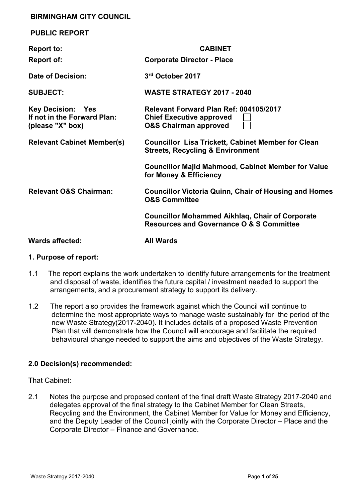#### **BIRMINGHAM CITY COUNCIL**

| <b>PUBLIC REPORT</b>                                                        |                                                                                                               |
|-----------------------------------------------------------------------------|---------------------------------------------------------------------------------------------------------------|
| <b>Report to:</b>                                                           | <b>CABINET</b>                                                                                                |
| <b>Report of:</b>                                                           | <b>Corporate Director - Place</b>                                                                             |
| Date of Decision:                                                           | 3rd October 2017                                                                                              |
| <b>SUBJECT:</b>                                                             | <b>WASTE STRATEGY 2017 - 2040</b>                                                                             |
| <b>Key Decision: Yes</b><br>If not in the Forward Plan:<br>(please "X" box) | Relevant Forward Plan Ref: 004105/2017<br><b>Chief Executive approved</b><br><b>O&amp;S Chairman approved</b> |
| <b>Relevant Cabinet Member(s)</b>                                           | <b>Councillor Lisa Trickett, Cabinet Member for Clean</b><br><b>Streets, Recycling &amp; Environment</b>      |
|                                                                             | <b>Councillor Majid Mahmood, Cabinet Member for Value</b><br>for Money & Efficiency                           |
| <b>Relevant O&amp;S Chairman:</b>                                           | <b>Councillor Victoria Quinn, Chair of Housing and Homes</b><br><b>O&amp;S Committee</b>                      |
|                                                                             | <b>Councillor Mohammed Aikhlag, Chair of Corporate</b><br><b>Resources and Governance O &amp; S Committee</b> |
| <b>Wards affected:</b>                                                      | <b>All Wards</b>                                                                                              |

#### **1. Purpose of report:**

- 1.1 The report explains the work undertaken to identify future arrangements for the treatment and disposal of waste, identifies the future capital / investment needed to support the arrangements, and a procurement strategy to support its delivery.
- 1.2 The report also provides the framework against which the Council will continue to determine the most appropriate ways to manage waste sustainably for the period of the new Waste Strategy(2017-2040). It includes details of a proposed Waste Prevention Plan that will demonstrate how the Council will encourage and facilitate the required behavioural change needed to support the aims and objectives of the Waste Strategy.

#### **2.0 Decision(s) recommended:**

That Cabinet:

2.1 Notes the purpose and proposed content of the final draft Waste Strategy 2017-2040 and delegates approval of the final strategy to the Cabinet Member for Clean Streets, Recycling and the Environment, the Cabinet Member for Value for Money and Efficiency, and the Deputy Leader of the Council jointly with the Corporate Director – Place and the Corporate Director – Finance and Governance.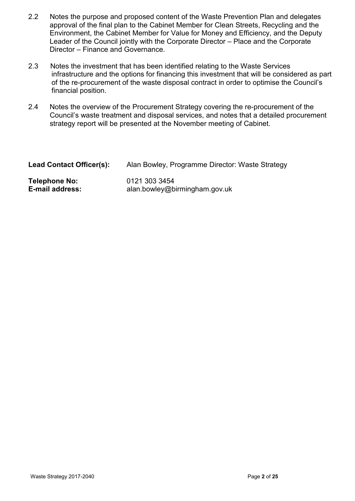- 2.2 Notes the purpose and proposed content of the Waste Prevention Plan and delegates approval of the final plan to the Cabinet Member for Clean Streets, Recycling and the Environment, the Cabinet Member for Value for Money and Efficiency, and the Deputy Leader of the Council jointly with the Corporate Director – Place and the Corporate Director – Finance and Governance.
- 2.3 Notes the investment that has been identified relating to the Waste Services infrastructure and the options for financing this investment that will be considered as part of the re-procurement of the waste disposal contract in order to optimise the Council's financial position.
- 2.4 Notes the overview of the Procurement Strategy covering the re-procurement of the Council's waste treatment and disposal services, and notes that a detailed procurement strategy report will be presented at the November meeting of Cabinet.

| <b>Lead Contact Officer(s):</b> | Alan Bowley, Programme Director: Waste Strategy |
|---------------------------------|-------------------------------------------------|
| Telephone No:                   | 0121 303 3454                                   |
| E-mail address:                 | alan.bowley@birmingham.gov.uk                   |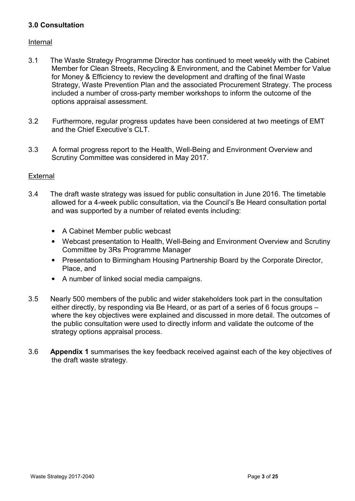# **3.0 Consultation**

## Internal

- 3.1 The Waste Strategy Programme Director has continued to meet weekly with the Cabinet Member for Clean Streets, Recycling & Environment, and the Cabinet Member for Value for Money & Efficiency to review the development and drafting of the final Waste Strategy, Waste Prevention Plan and the associated Procurement Strategy. The process included a number of cross-party member workshops to inform the outcome of the options appraisal assessment.
- 3.2 Furthermore, regular progress updates have been considered at two meetings of EMT and the Chief Executive's CLT.
- 3.3 A formal progress report to the Health, Well-Being and Environment Overview and Scrutiny Committee was considered in May 2017.

## External

- 3.4 The draft waste strategy was issued for public consultation in June 2016. The timetable allowed for a 4-week public consultation, via the Council's Be Heard consultation portal and was supported by a number of related events including:
	- A Cabinet Member public webcast
	- Webcast presentation to Health, Well-Being and Environment Overview and Scrutiny Committee by 3Rs Programme Manager
	- Presentation to Birmingham Housing Partnership Board by the Corporate Director, Place, and
	- A number of linked social media campaigns.
- 3.5 Nearly 500 members of the public and wider stakeholders took part in the consultation either directly, by responding via Be Heard, or as part of a series of 6 focus groups – where the key objectives were explained and discussed in more detail. The outcomes of the public consultation were used to directly inform and validate the outcome of the strategy options appraisal process.
- 3.6 **Appendix 1** summarises the key feedback received against each of the key objectives of the draft waste strategy.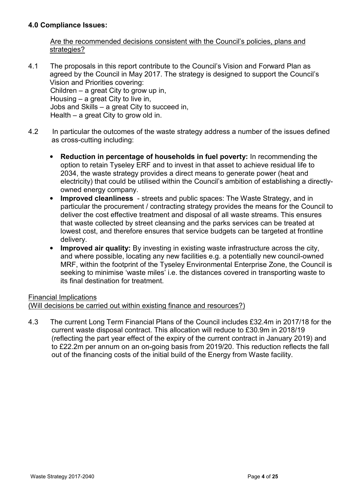## **4.0 Compliance Issues:**

 Are the recommended decisions consistent with the Council's policies, plans and strategies?

- 4.1 The proposals in this report contribute to the Council's Vision and Forward Plan as agreed by the Council in May 2017. The strategy is designed to support the Council's Vision and Priorities covering: Children – a great City to grow up in, Housing – a great City to live in, Jobs and Skills – a great City to succeed in, Health – a great City to grow old in.
- 4.2 In particular the outcomes of the waste strategy address a number of the issues defined as cross-cutting including:
	- **Reduction in percentage of households in fuel poverty:** In recommending the option to retain Tyseley ERF and to invest in that asset to achieve residual life to 2034, the waste strategy provides a direct means to generate power (heat and electricity) that could be utilised within the Council's ambition of establishing a directlyowned energy company.
	- **Improved cleanliness**  streets and public spaces: The Waste Strategy, and in particular the procurement / contracting strategy provides the means for the Council to deliver the cost effective treatment and disposal of all waste streams. This ensures that waste collected by street cleansing and the parks services can be treated at lowest cost, and therefore ensures that service budgets can be targeted at frontline delivery.
	- **Improved air quality:** By investing in existing waste infrastructure across the city, and where possible, locating any new facilities e.g. a potentially new council-owned MRF, within the footprint of the Tyseley Environmental Enterprise Zone, the Council is seeking to minimise 'waste miles' i.e. the distances covered in transporting waste to its final destination for treatment.

# Financial Implications

(Will decisions be carried out within existing finance and resources?)

4.3 The current Long Term Financial Plans of the Council includes £32.4m in 2017/18 for the current waste disposal contract. This allocation will reduce to £30.9m in 2018/19 (reflecting the part year effect of the expiry of the current contract in January 2019) and to £22.2m per annum on an on-going basis from 2019/20. This reduction reflects the fall out of the financing costs of the initial build of the Energy from Waste facility.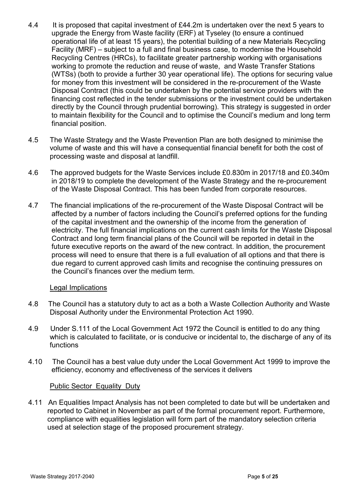- 4.4 It is proposed that capital investment of £44.2m is undertaken over the next 5 years to upgrade the Energy from Waste facility (ERF) at Tyseley (to ensure a continued operational life of at least 15 years), the potential building of a new Materials Recycling Facility (MRF) – subject to a full and final business case, to modernise the Household Recycling Centres (HRCs), to facilitate greater partnership working with organisations working to promote the reduction and reuse of waste, and Waste Transfer Stations (WTSs) (both to provide a further 30 year operational life). The options for securing value for money from this investment will be considered in the re-procurement of the Waste Disposal Contract (this could be undertaken by the potential service providers with the financing cost reflected in the tender submissions or the investment could be undertaken directly by the Council through prudential borrowing). This strategy is suggested in order to maintain flexibility for the Council and to optimise the Council's medium and long term financial position.
- 4.5 The Waste Strategy and the Waste Prevention Plan are both designed to minimise the volume of waste and this will have a consequential financial benefit for both the cost of processing waste and disposal at landfill.
- 4.6 The approved budgets for the Waste Services include £0.830m in 2017/18 and £0.340m in 2018/19 to complete the development of the Waste Strategy and the re-procurement of the Waste Disposal Contract. This has been funded from corporate resources.
- 4.7 The financial implications of the re-procurement of the Waste Disposal Contract will be affected by a number of factors including the Council's preferred options for the funding of the capital investment and the ownership of the income from the generation of electricity. The full financial implications on the current cash limits for the Waste Disposal Contract and long term financial plans of the Council will be reported in detail in the future executive reports on the award of the new contract. In addition, the procurement process will need to ensure that there is a full evaluation of all options and that there is due regard to current approved cash limits and recognise the continuing pressures on the Council's finances over the medium term.

#### Legal Implications

- 4.8 The Council has a statutory duty to act as a both a Waste Collection Authority and Waste Disposal Authority under the Environmental Protection Act 1990.
- 4.9 Under S.111 of the Local Government Act 1972 the Council is entitled to do any thing which is calculated to facilitate, or is conducive or incidental to, the discharge of any of its functions
- 4.10 The Council has a best value duty under the Local Government Act 1999 to improve the efficiency, economy and effectiveness of the services it delivers

#### Public Sector Equality Duty

4.11 An Equalities Impact Analysis has not been completed to date but will be undertaken and reported to Cabinet in November as part of the formal procurement report. Furthermore, compliance with equalities legislation will form part of the mandatory selection criteria used at selection stage of the proposed procurement strategy.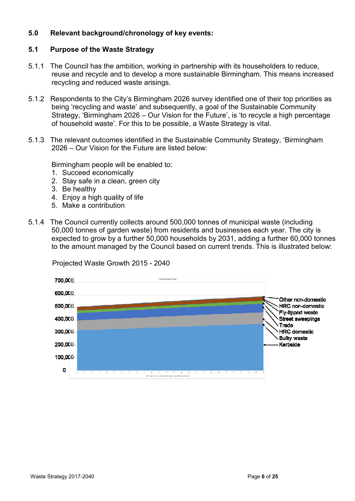## **5.0 Relevant background/chronology of key events:**

#### **5.1 Purpose of the Waste Strategy**

- 5.1.1 The Council has the ambition, working in partnership with its householders to reduce, reuse and recycle and to develop a more sustainable Birmingham. This means increased recycling and reduced waste arisings.
- 5.1.2 Respondents to the City's Birmingham 2026 survey identified one of their top priorities as being 'recycling and waste' and subsequently, a goal of the Sustainable Community Strategy, 'Birmingham 2026 – Our Vision for the Future', is 'to recycle a high percentage of household waste'. For this to be possible, a Waste Strategy is vital.
- 5.1.3 The relevant outcomes identified in the Sustainable Community Strategy, 'Birmingham 2026 – Our Vision for the Future are listed below:

Birmingham people will be enabled to:

- 1. Succeed economically
- 2. Stay safe in a clean, green city
- 3. Be healthy
- 4. Enjoy a high quality of life
- 5. Make a contribution
- 5.1.4 The Council currently collects around 500,000 tonnes of municipal waste (including 50,000 tonnes of garden waste) from residents and businesses each year. The city is expected to grow by a further 50,000 households by 2031, adding a further 60,000 tonnes to the amount managed by the Council based on current trends. This is illustrated below:



Projected Waste Growth 2015 - 2040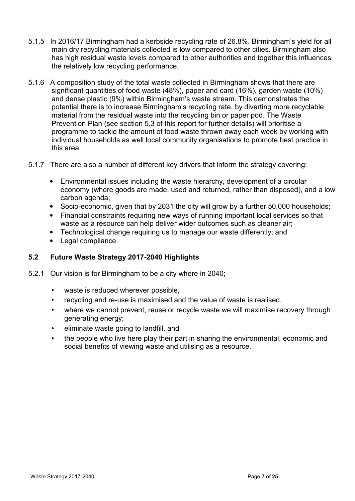- 5.1.5 In 2016/17 Birmingham had a kerbside recycling rate of 26.8%. Birmingham's yield for all main dry recycling materials collected is low compared to other cities. Birmingham also has high residual waste levels compared to other authorities and together this influences the relatively low recycling performance.
- 5.1.6 A composition study of the total waste collected in Birmingham shows that there are significant quantities of food waste (48%), paper and card (16%), garden waste (10%) and dense plastic (9%) within Birmingham's waste stream. This demonstrates the potential there is to increase Birmingham's recycling rate, by diverting more recyclable material from the residual waste into the recycling bin or paper pod. The Waste Prevention Plan (see section 5.3 of this report for further details) will prioritise a programme to tackle the amount of food waste thrown away each week by working with individual households as well local community organisations to promote best practice in this area.
- 5.1.7 There are also a number of different key drivers that inform the strategy covering:
	- Environmental issues including the waste hierarchy, development of a circular economy (where goods are made, used and returned, rather than disposed), and a low carbon agenda;
	- Socio-economic, given that by 2031 the city will grow by a further 50,000 households;
	- Financial constraints requiring new ways of running important local services so that waste as a resource can help deliver wider outcomes such as cleaner air;
	- Technological change requiring us to manage our waste differently; and
	- Legal compliance.

# **5.2 Future Waste Strategy 2017-2040 Highlights**

- 5.2.1 Our vision is for Birmingham to be a city where in 2040;
	- waste is reduced wherever possible,
	- recycling and re-use is maximised and the value of waste is realised,
	- where we cannot prevent, reuse or recycle waste we will maximise recovery through generating energy;
	- eliminate waste going to landfill, and
	- the people who live here play their part in sharing the environmental, economic and social benefits of viewing waste and utilising as a resource.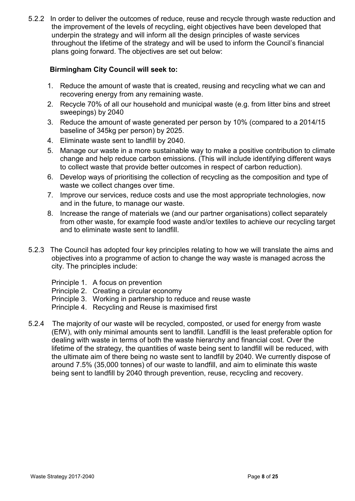5.2.2 In order to deliver the outcomes of reduce, reuse and recycle through waste reduction and the improvement of the levels of recycling, eight objectives have been developed that underpin the strategy and will inform all the design principles of waste services throughout the lifetime of the strategy and will be used to inform the Council's financial plans going forward. The objectives are set out below:

## **Birmingham City Council will seek to:**

- 1. Reduce the amount of waste that is created, reusing and recycling what we can and recovering energy from any remaining waste.
- 2. Recycle 70% of all our household and municipal waste (e.g. from litter bins and street sweepings) by 2040
- 3. Reduce the amount of waste generated per person by 10% (compared to a 2014/15 baseline of 345kg per person) by 2025.
- 4. Eliminate waste sent to landfill by 2040.
- 5. Manage our waste in a more sustainable way to make a positive contribution to climate change and help reduce carbon emissions. (This will include identifying different ways to collect waste that provide better outcomes in respect of carbon reduction).
- 6. Develop ways of prioritising the collection of recycling as the composition and type of waste we collect changes over time.
- 7. Improve our services, reduce costs and use the most appropriate technologies, now and in the future, to manage our waste.
- 8. Increase the range of materials we (and our partner organisations) collect separately from other waste, for example food waste and/or textiles to achieve our recycling target and to eliminate waste sent to landfill.
- 5.2.3 The Council has adopted four key principles relating to how we will translate the aims and objectives into a programme of action to change the way waste is managed across the city. The principles include:
	- Principle 1. A focus on prevention
	- Principle 2. Creating a circular economy
	- Principle 3. Working in partnership to reduce and reuse waste
	- Principle 4. Recycling and Reuse is maximised first
- 5.2.4 The majority of our waste will be recycled, composted, or used for energy from waste (EfW), with only minimal amounts sent to landfill. Landfill is the least preferable option for dealing with waste in terms of both the waste hierarchy and financial cost. Over the lifetime of the strategy, the quantities of waste being sent to landfill will be reduced, with the ultimate aim of there being no waste sent to landfill by 2040. We currently dispose of around 7.5% (35,000 tonnes) of our waste to landfill, and aim to eliminate this waste being sent to landfill by 2040 through prevention, reuse, recycling and recovery.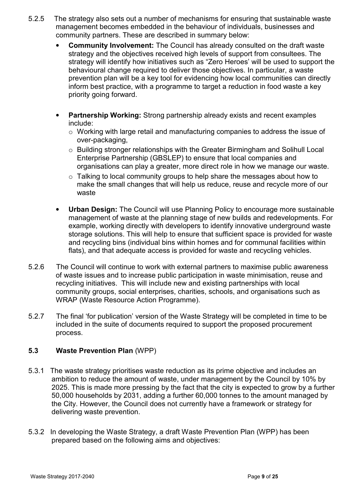- 5.2.5 The strategy also sets out a number of mechanisms for ensuring that sustainable waste management becomes embedded in the behaviour of individuals, businesses and community partners. These are described in summary below:
	- **Community Involvement:** The Council has already consulted on the draft waste strategy and the objectives received high levels of support from consultees. The strategy will identify how initiatives such as "Zero Heroes' will be used to support the behavioural change required to deliver those objectives. In particular, a waste prevention plan will be a key tool for evidencing how local communities can directly inform best practice, with a programme to target a reduction in food waste a key priority going forward.
	- **Partnership Working:** Strong partnership already exists and recent examples include:
		- $\circ$  Working with large retail and manufacturing companies to address the issue of over-packaging,
		- o Building stronger relationships with the Greater Birmingham and Solihull Local Enterprise Partnership (GBSLEP) to ensure that local companies and organisations can play a greater, more direct role in how we manage our waste.
		- o Talking to local community groups to help share the messages about how to make the small changes that will help us reduce, reuse and recycle more of our waste
	- **Urban Design:** The Council will use Planning Policy to encourage more sustainable management of waste at the planning stage of new builds and redevelopments. For example, working directly with developers to identify innovative underground waste storage solutions. This will help to ensure that sufficient space is provided for waste and recycling bins (individual bins within homes and for communal facilities within flats), and that adequate access is provided for waste and recycling vehicles.
- 5.2.6 The Council will continue to work with external partners to maximise public awareness of waste issues and to increase public participation in waste minimisation, reuse and recycling initiatives. This will include new and existing partnerships with local community groups, social enterprises, charities, schools, and organisations such as WRAP (Waste Resource Action Programme).
- 5.2.7 The final 'for publication' version of the Waste Strategy will be completed in time to be included in the suite of documents required to support the proposed procurement process.

# **5.3 Waste Prevention Plan** (WPP)

- 5.3.1 The waste strategy prioritises waste reduction as its prime objective and includes an ambition to reduce the amount of waste, under management by the Council by 10% by 2025. This is made more pressing by the fact that the city is expected to grow by a further 50,000 households by 2031, adding a further 60,000 tonnes to the amount managed by the City. However, the Council does not currently have a framework or strategy for delivering waste prevention.
- 5.3.2 In developing the Waste Strategy, a draft Waste Prevention Plan (WPP) has been prepared based on the following aims and objectives: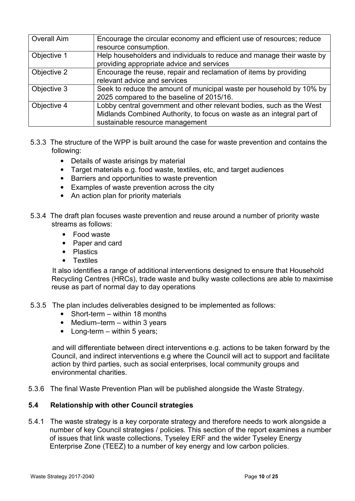| Overall Aim | Encourage the circular economy and efficient use of resources; reduce<br>resource consumption.                                                                                   |
|-------------|----------------------------------------------------------------------------------------------------------------------------------------------------------------------------------|
| Objective 1 | Help householders and individuals to reduce and manage their waste by<br>providing appropriate advice and services                                                               |
| Objective 2 | Encourage the reuse, repair and reclamation of items by providing<br>relevant advice and services                                                                                |
| Objective 3 | Seek to reduce the amount of municipal waste per household by 10% by<br>2025 compared to the baseline of 2015/16.                                                                |
| Objective 4 | Lobby central government and other relevant bodies, such as the West<br>Midlands Combined Authority, to focus on waste as an integral part of<br>sustainable resource management |

- 5.3.3 The structure of the WPP is built around the case for waste prevention and contains the following:
	- Details of waste arisings by material
	- Target materials e.g. food waste, textiles, etc, and target audiences
	- Barriers and opportunities to waste prevention
	- Examples of waste prevention across the city
	- An action plan for priority materials
- 5.3.4 The draft plan focuses waste prevention and reuse around a number of priority waste streams as follows:
	- Food waste
	- Paper and card
	- Plastics
	- Textiles

 It also identifies a range of additional interventions designed to ensure that Household Recycling Centres (HRCs), trade waste and bulky waste collections are able to maximise reuse as part of normal day to day operations

- 5.3.5 The plan includes deliverables designed to be implemented as follows:
	- Short-term within 18 months
	- Medium–term within 3 years
	- Long-term  $-$  within 5 years;

 and will differentiate between direct interventions e.g. actions to be taken forward by the Council, and indirect interventions e.g where the Council will act to support and facilitate action by third parties, such as social enterprises, local community groups and environmental charities.

5.3.6 The final Waste Prevention Plan will be published alongside the Waste Strategy.

#### **5.4 Relationship with other Council strategies**

5.4.1 The waste strategy is a key corporate strategy and therefore needs to work alongside a number of key Council strategies / policies. This section of the report examines a number of issues that link waste collections, Tyseley ERF and the wider Tyseley Energy Enterprise Zone (TEEZ) to a number of key energy and low carbon policies.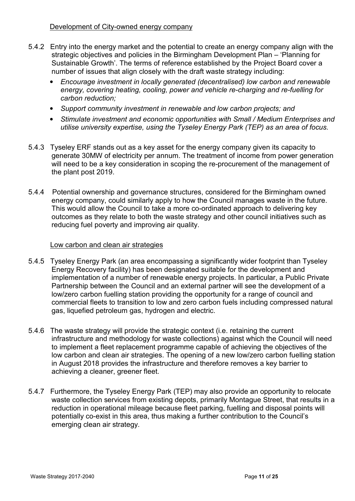- 5.4.2 Entry into the energy market and the potential to create an energy company align with the strategic objectives and policies in the Birmingham Development Plan – 'Planning for Sustainable Growth'. The terms of reference established by the Project Board cover a number of issues that align closely with the draft waste strategy including:
	- *Encourage investment in locally generated (decentralised) low carbon and renewable energy, covering heating, cooling, power and vehicle re-charging and re-fuelling for carbon reduction;*
	- *Support community investment in renewable and low carbon projects; and*
	- *Stimulate investment and economic opportunities with Small / Medium Enterprises and utilise university expertise, using the Tyseley Energy Park (TEP) as an area of focus.*
- 5.4.3 Tyseley ERF stands out as a key asset for the energy company given its capacity to generate 30MW of electricity per annum. The treatment of income from power generation will need to be a key consideration in scoping the re-procurement of the management of the plant post 2019.
- 5.4.4 Potential ownership and governance structures, considered for the Birmingham owned energy company, could similarly apply to how the Council manages waste in the future. This would allow the Council to take a more co-ordinated approach to delivering key outcomes as they relate to both the waste strategy and other council initiatives such as reducing fuel poverty and improving air quality.

## Low carbon and clean air strategies

- 5.4.5 Tyseley Energy Park (an area encompassing a significantly wider footprint than Tyseley Energy Recovery facility) has been designated suitable for the development and implementation of a number of renewable energy projects. In particular, a Public Private Partnership between the Council and an external partner will see the development of a low/zero carbon fuelling station providing the opportunity for a range of council and commercial fleets to transition to low and zero carbon fuels including compressed natural gas, liquefied petroleum gas, hydrogen and electric.
- 5.4.6 The waste strategy will provide the strategic context (i.e. retaining the current infrastructure and methodology for waste collections) against which the Council will need to implement a fleet replacement programme capable of achieving the objectives of the low carbon and clean air strategies. The opening of a new low/zero carbon fuelling station in August 2018 provides the infrastructure and therefore removes a key barrier to achieving a cleaner, greener fleet.
- 5.4.7 Furthermore, the Tyseley Energy Park (TEP) may also provide an opportunity to relocate waste collection services from existing depots, primarily Montague Street, that results in a reduction in operational mileage because fleet parking, fuelling and disposal points will potentially co-exist in this area, thus making a further contribution to the Council's emerging clean air strategy.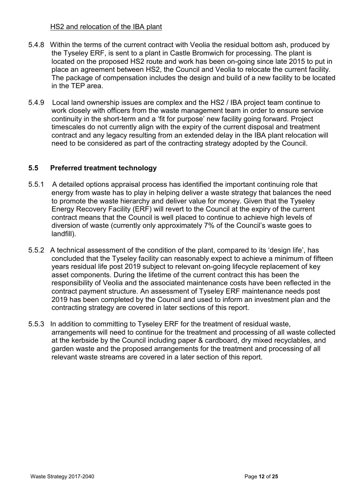#### HS2 and relocation of the IBA plant

- 5.4.8 Within the terms of the current contract with Veolia the residual bottom ash, produced by the Tyseley ERF, is sent to a plant in Castle Bromwich for processing. The plant is located on the proposed HS2 route and work has been on-going since late 2015 to put in place an agreement between HS2, the Council and Veolia to relocate the current facility. The package of compensation includes the design and build of a new facility to be located in the TEP area.
- 5.4.9 Local land ownership issues are complex and the HS2 / IBA project team continue to work closely with officers from the waste management team in order to ensure service continuity in the short-term and a 'fit for purpose' new facility going forward. Project timescales do not currently align with the expiry of the current disposal and treatment contract and any legacy resulting from an extended delay in the IBA plant relocation will need to be considered as part of the contracting strategy adopted by the Council.

## **5.5 Preferred treatment technology**

- 5.5.1 A detailed options appraisal process has identified the important continuing role that energy from waste has to play in helping deliver a waste strategy that balances the need to promote the waste hierarchy and deliver value for money. Given that the Tyseley Energy Recovery Facility (ERF) will revert to the Council at the expiry of the current contract means that the Council is well placed to continue to achieve high levels of diversion of waste (currently only approximately 7% of the Council's waste goes to landfill).
- 5.5.2 A technical assessment of the condition of the plant, compared to its 'design life', has concluded that the Tyseley facility can reasonably expect to achieve a minimum of fifteen years residual life post 2019 subject to relevant on-going lifecycle replacement of key asset components. During the lifetime of the current contract this has been the responsibility of Veolia and the associated maintenance costs have been reflected in the contract payment structure. An assessment of Tyseley ERF maintenance needs post 2019 has been completed by the Council and used to inform an investment plan and the contracting strategy are covered in later sections of this report.
- 5.5.3 In addition to committing to Tyseley ERF for the treatment of residual waste, arrangements will need to continue for the treatment and processing of all waste collected at the kerbside by the Council including paper & cardboard, dry mixed recyclables, and garden waste and the proposed arrangements for the treatment and processing of all relevant waste streams are covered in a later section of this report.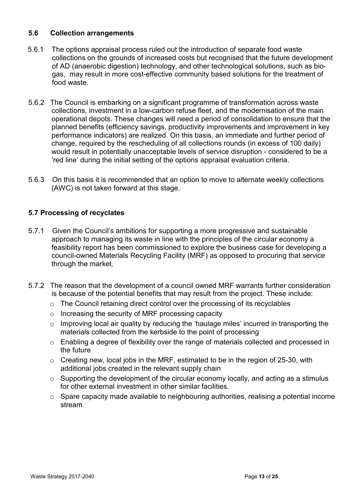## **5.6 Collection arrangements**

- 5.6.1 The options appraisal process ruled out the introduction of separate food waste collections on the grounds of increased costs but recognised that the future development of AD (anaerobic digestion) technology, and other technological solutions, such as biogas, may result in more cost-effective community based solutions for the treatment of food waste.
- 5.6.2 The Council is embarking on a significant programme of transformation across waste collections, investment in a low-carbon refuse fleet, and the modernisation of the main operational depots. These changes will need a period of consolidation to ensure that the planned benefits (efficiency savings, productivity improvements and improvement in key performance indicators) are realized. On this basis, an immediate and further period of change, required by the rescheduling of all collections rounds (in excess of 100 daily) would result in potentially unacceptable levels of service disruption - considered to be a 'red line' during the initial setting of the options appraisal evaluation criteria.
- 5.6.3 On this basis it is recommended that an option to move to alternate weekly collections (AWC) is not taken forward at this stage.

# **5.7 Processing of recyclates**

- 5.7.1 Given the Council's ambitions for supporting a more progressive and sustainable approach to managing its waste in line with the principles of the circular economy a feasibility report has been commissioned to explore the business case for developing a council-owned Materials Recycling Facility (MRF) as opposed to procuring that service through the market.
- 5.7.2 The reason that the development of a council owned MRF warrants further consideration is because of the potential benefits that may result from the project. These include:
	- o The Council retaining direct control over the processing of its recyclables
	- o Increasing the security of MRF processing capacity
	- o Improving local air quality by reducing the 'haulage miles' incurred in transporting the materials collected from the kerbside to the point of processing
	- o Enabling a degree of flexibility over the range of materials collected and processed in the future
	- $\circ$  Creating new, local jobs in the MRF, estimated to be in the region of 25-30, with additional jobs created in the relevant supply chain
	- $\circ$  Supporting the development of the circular economy locally, and acting as a stimulus for other external investment in other similar facilities.
	- o Spare capacity made available to neighbouring authorities, realising a potential income stream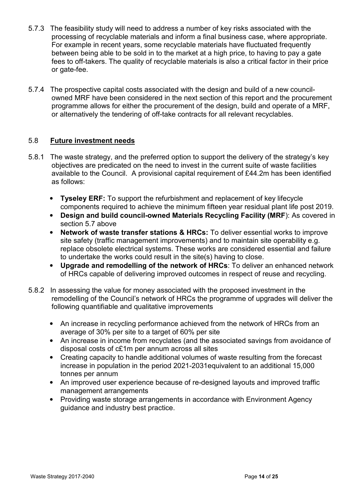- 5.7.3 The feasibility study will need to address a number of key risks associated with the processing of recyclable materials and inform a final business case, where appropriate. For example in recent years, some recyclable materials have fluctuated frequently between being able to be sold in to the market at a high price, to having to pay a gate fees to off-takers. The quality of recyclable materials is also a critical factor in their price or gate-fee.
- 5.7.4 The prospective capital costs associated with the design and build of a new councilowned MRF have been considered in the next section of this report and the procurement programme allows for either the procurement of the design, build and operate of a MRF, or alternatively the tendering of off-take contracts for all relevant recyclables.

## 5.8 **Future investment needs**

- 5.8.1 The waste strategy, and the preferred option to support the delivery of the strategy's key objectives are predicated on the need to invest in the current suite of waste facilities available to the Council. A provisional capital requirement of £44.2m has been identified as follows:
	- **Tyseley ERF:** To support the refurbishment and replacement of key lifecycle components required to achieve the minimum fifteen year residual plant life post 2019.
	- **Design and build council-owned Materials Recycling Facility (MRF**): As covered in section 5.7 above
	- **Network of waste transfer stations & HRCs:** To deliver essential works to improve site safety (traffic management improvements) and to maintain site operability e.g. replace obsolete electrical systems. These works are considered essential and failure to undertake the works could result in the site(s) having to close.
	- **Upgrade and remodelling of the network of HRCs**: To deliver an enhanced network of HRCs capable of delivering improved outcomes in respect of reuse and recycling.
- 5.8.2 In assessing the value for money associated with the proposed investment in the remodelling of the Council's network of HRCs the programme of upgrades will deliver the following quantifiable and qualitative improvements
	- An increase in recycling performance achieved from the network of HRCs from an average of 30% per site to a target of 60% per site
	- An increase in income from recyclates (and the associated savings from avoidance of disposal costs of c£1m per annum across all sites
	- Creating capacity to handle additional volumes of waste resulting from the forecast increase in population in the period 2021-2031equivalent to an additional 15,000 tonnes per annum
	- An improved user experience because of re-designed layouts and improved traffic management arrangements
	- Providing waste storage arrangements in accordance with Environment Agency guidance and industry best practice.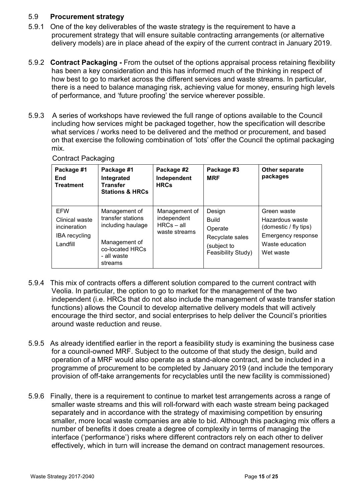## 5.9 **Procurement strategy**

- 5.9.1 One of the key deliverables of the waste strategy is the requirement to have a procurement strategy that will ensure suitable contracting arrangements (or alternative delivery models) are in place ahead of the expiry of the current contract in January 2019.
- 5.9.2 **Contract Packaging** From the outset of the options appraisal process retaining flexibility has been a key consideration and this has informed much of the thinking in respect of how best to go to market across the different services and waste streams. In particular, there is a need to balance managing risk, achieving value for money, ensuring high levels of performance, and 'future proofing' the service wherever possible.
- 5.9.3 A series of workshops have reviewed the full range of options available to the Council including how services might be packaged together, how the specification will describe what services / works need to be delivered and the method or procurement, and based on that exercise the following combination of 'lots' offer the Council the optimal packaging mix.

|  | <b>Contract Packaging</b> |
|--|---------------------------|
|--|---------------------------|

| Package #1<br>End<br>Treatment                                            | Package #1<br>Integrated<br><b>Transfer</b><br><b>Stations &amp; HRCs</b>                                             | Package #2<br>Independent<br><b>HRCs</b>                      | Package #3<br><b>MRF</b>                                                                  | Other separate<br>packages                                                                                    |
|---------------------------------------------------------------------------|-----------------------------------------------------------------------------------------------------------------------|---------------------------------------------------------------|-------------------------------------------------------------------------------------------|---------------------------------------------------------------------------------------------------------------|
| <b>EFW</b><br>Clinical waste<br>incineration<br>IBA recycling<br>Landfill | Management of<br>transfer stations<br>including haulage<br>Management of<br>co-located HRCs<br>- all waste<br>streams | Management of<br>independent<br>$HRCs - all$<br>waste streams | Design<br><b>Build</b><br>Operate<br>Recyclate sales<br>(subject to<br>Feasibility Study) | Green waste<br>Hazardous waste<br>(domestic / fly tips)<br>Emergency response<br>Waste education<br>Wet waste |

- 5.9.4 This mix of contracts offers a different solution compared to the current contract with Veolia. In particular, the option to go to market for the management of the two independent (i.e. HRCs that do not also include the management of waste transfer station functions) allows the Council to develop alternative delivery models that will actively encourage the third sector, and social enterprises to help deliver the Council's priorities around waste reduction and reuse.
- 5.9.5 As already identified earlier in the report a feasibility study is examining the business case for a council-owned MRF. Subject to the outcome of that study the design, build and operation of a MRF would also operate as a stand-alone contract, and be included in a programme of procurement to be completed by January 2019 (and include the temporary provision of off-take arrangements for recyclables until the new facility is commissioned)
- 5.9.6 Finally, there is a requirement to continue to market test arrangements across a range of smaller waste streams and this will roll-forward with each waste stream being packaged separately and in accordance with the strategy of maximising competition by ensuring smaller, more local waste companies are able to bid. Although this packaging mix offers a number of benefits it does create a degree of complexity in terms of managing the interface ('performance') risks where different contractors rely on each other to deliver effectively, which in turn will increase the demand on contract management resources.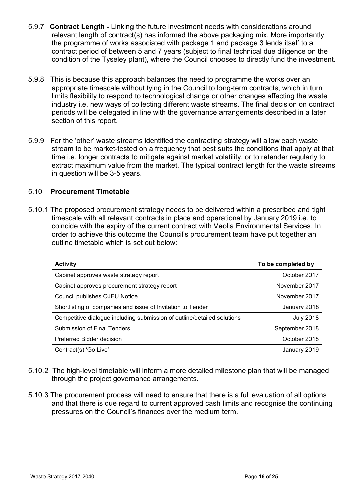- 5.9.7 **Contract Length** Linking the future investment needs with considerations around relevant length of contract(s) has informed the above packaging mix. More importantly, the programme of works associated with package 1 and package 3 lends itself to a contract period of between 5 and 7 years (subject to final technical due diligence on the condition of the Tyseley plant), where the Council chooses to directly fund the investment.
- 5.9.8 This is because this approach balances the need to programme the works over an appropriate timescale without tying in the Council to long-term contracts, which in turn limits flexibility to respond to technological change or other changes affecting the waste industry i.e. new ways of collecting different waste streams. The final decision on contract periods will be delegated in line with the governance arrangements described in a later section of this report.
- 5.9.9 For the 'other' waste streams identified the contracting strategy will allow each waste stream to be market-tested on a frequency that best suits the conditions that apply at that time i.e. longer contracts to mitigate against market volatility, or to retender regularly to extract maximum value from the market. The typical contract length for the waste streams in question will be 3-5 years.

## 5.10 **Procurement Timetable**

5.10.1 The proposed procurement strategy needs to be delivered within a prescribed and tight timescale with all relevant contracts in place and operational by January 2019 i.e. to coincide with the expiry of the current contract with Veolia Environmental Services. In order to achieve this outcome the Council's procurement team have put together an outline timetable which is set out below:

| <b>Activity</b>                                                         | To be completed by |
|-------------------------------------------------------------------------|--------------------|
| Cabinet approves waste strategy report                                  | October 2017       |
| Cabinet approves procurement strategy report                            | November 2017      |
| Council publishes OJEU Notice                                           | November 2017      |
| Shortlisting of companies and issue of Invitation to Tender             | January 2018       |
| Competitive dialogue including submission of outline/detailed solutions | <b>July 2018</b>   |
| Submission of Final Tenders                                             | September 2018     |
| Preferred Bidder decision                                               | October 2018       |
| Contract(s) 'Go Live'                                                   | January 2019       |

- 5.10.2 The high-level timetable will inform a more detailed milestone plan that will be managed through the project governance arrangements.
- 5.10.3 The procurement process will need to ensure that there is a full evaluation of all options and that there is due regard to current approved cash limits and recognise the continuing pressures on the Council's finances over the medium term.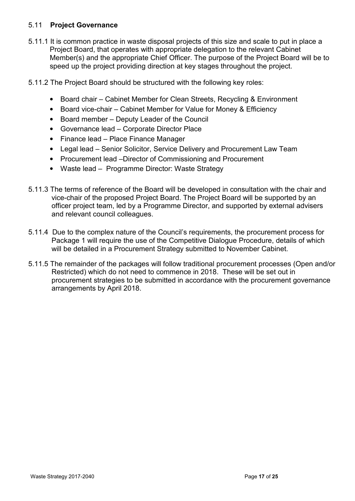# 5.11 **Project Governance**

- 5.11.1 It is common practice in waste disposal projects of this size and scale to put in place a Project Board, that operates with appropriate delegation to the relevant Cabinet Member(s) and the appropriate Chief Officer. The purpose of the Project Board will be to speed up the project providing direction at key stages throughout the project.
- 5.11.2 The Project Board should be structured with the following key roles:
	- Board chair Cabinet Member for Clean Streets, Recycling & Environment
	- Board vice-chair Cabinet Member for Value for Money & Efficiency
	- Board member Deputy Leader of the Council
	- Governance lead Corporate Director Place
	- Finance lead Place Finance Manager
	- Legal lead Senior Solicitor, Service Delivery and Procurement Law Team
	- Procurement lead –Director of Commissioning and Procurement
	- Waste lead Programme Director: Waste Strategy
- 5.11.3 The terms of reference of the Board will be developed in consultation with the chair and vice-chair of the proposed Project Board. The Project Board will be supported by an officer project team, led by a Programme Director, and supported by external advisers and relevant council colleagues.
- 5.11.4 Due to the complex nature of the Council's requirements, the procurement process for Package 1 will require the use of the Competitive Dialogue Procedure, details of which will be detailed in a Procurement Strategy submitted to November Cabinet.
- 5.11.5 The remainder of the packages will follow traditional procurement processes (Open and/or Restricted) which do not need to commence in 2018. These will be set out in procurement strategies to be submitted in accordance with the procurement governance arrangements by April 2018.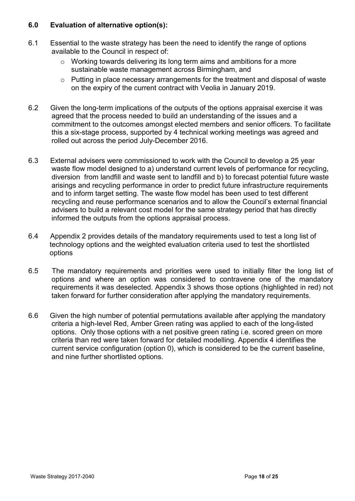## **6.0 Evaluation of alternative option(s):**

- 6.1 Essential to the waste strategy has been the need to identify the range of options available to the Council in respect of:
	- $\circ$  Working towards delivering its long term aims and ambitions for a more sustainable waste management across Birmingham, and
	- $\circ$  Putting in place necessary arrangements for the treatment and disposal of waste on the expiry of the current contract with Veolia in January 2019.
- 6.2 Given the long-term implications of the outputs of the options appraisal exercise it was agreed that the process needed to build an understanding of the issues and a commitment to the outcomes amongst elected members and senior officers. To facilitate this a six-stage process, supported by 4 technical working meetings was agreed and rolled out across the period July-December 2016.
- 6.3 External advisers were commissioned to work with the Council to develop a 25 year waste flow model designed to a) understand current levels of performance for recycling, diversion from landfill and waste sent to landfill and b) to forecast potential future waste arisings and recycling performance in order to predict future infrastructure requirements and to inform target setting. The waste flow model has been used to test different recycling and reuse performance scenarios and to allow the Council's external financial advisers to build a relevant cost model for the same strategy period that has directly informed the outputs from the options appraisal process.
- 6.4 Appendix 2 provides details of the mandatory requirements used to test a long list of technology options and the weighted evaluation criteria used to test the shortlisted options
- 6.5 The mandatory requirements and priorities were used to initially filter the long list of options and where an option was considered to contravene one of the mandatory requirements it was deselected. Appendix 3 shows those options (highlighted in red) not taken forward for further consideration after applying the mandatory requirements.
- 6.6 Given the high number of potential permutations available after applying the mandatory criteria a high-level Red, Amber Green rating was applied to each of the long-listed options. Only those options with a net positive green rating i.e. scored green on more criteria than red were taken forward for detailed modelling. Appendix 4 identifies the current service configuration (option 0), which is considered to be the current baseline, and nine further shortlisted options.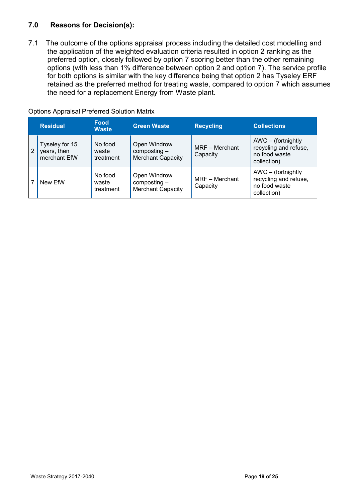# **7.0 Reasons for Decision(s):**

7.1 The outcome of the options appraisal process including the detailed cost modelling and the application of the weighted evaluation criteria resulted in option 2 ranking as the preferred option, closely followed by option 7 scoring better than the other remaining options (with less than 1% difference between option 2 and option 7). The service profile for both options is similar with the key difference being that option 2 has Tyseley ERF retained as the preferred method for treating waste, compared to option 7 which assumes the need for a replacement Energy from Waste plant.

|   | <b>Residual</b>                               | <b>Food</b><br><b>Waste</b>   | <b>Green Waste</b>                                         | <b>Recycling</b>           | <b>Collections</b>                                                             |
|---|-----------------------------------------------|-------------------------------|------------------------------------------------------------|----------------------------|--------------------------------------------------------------------------------|
| 2 | Tyseley for 15<br>years, then<br>merchant EfW | No food<br>waste<br>treatment | Open Windrow<br>$composting -$<br><b>Merchant Capacity</b> | MRF - Merchant<br>Capacity | $AWC - (fortnightly)$<br>recycling and refuse,<br>no food waste<br>collection) |
|   | New EfW                                       | No food<br>waste<br>treatment | Open Windrow<br>$composting -$<br><b>Merchant Capacity</b> | MRF - Merchant<br>Capacity | AWC - (fortnightly<br>recycling and refuse,<br>no food waste<br>collection)    |

#### Options Appraisal Preferred Solution Matrix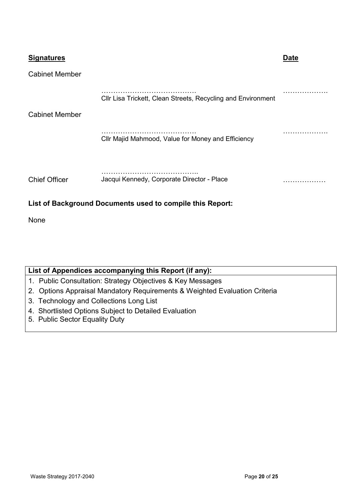| <b>Signatures</b>     |                                                              | <u>Date</u> |  |  |  |
|-----------------------|--------------------------------------------------------------|-------------|--|--|--|
| <b>Cabinet Member</b> |                                                              |             |  |  |  |
|                       | Cllr Lisa Trickett, Clean Streets, Recycling and Environment |             |  |  |  |
| <b>Cabinet Member</b> |                                                              |             |  |  |  |
|                       | Cllr Majid Mahmood, Value for Money and Efficiency           |             |  |  |  |
|                       |                                                              |             |  |  |  |
| <b>Chief Officer</b>  | Jacqui Kennedy, Corporate Director - Place                   | .           |  |  |  |
|                       | List of Background Documents used to compile this Report:    |             |  |  |  |

None

| List of Appendices accompanying this Report (if any):                      |
|----------------------------------------------------------------------------|
| 1. Public Consultation: Strategy Objectives & Key Messages                 |
| 2. Options Appraisal Mandatory Requirements & Weighted Evaluation Criteria |
| 3. Technology and Collections Long List                                    |
| 4. Shortlisted Options Subject to Detailed Evaluation                      |
| 5. Public Sector Equality Duty                                             |
|                                                                            |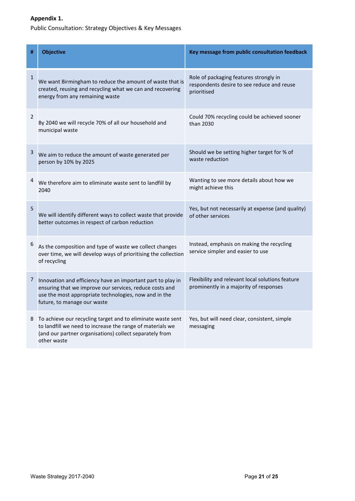## **Appendix 1.**

Public Consultation: Strategy Objectives & Key Messages

| #            | <b>Objective</b>                                                                                                                                                                                               | Key message from public consultation feedback                                                       |
|--------------|----------------------------------------------------------------------------------------------------------------------------------------------------------------------------------------------------------------|-----------------------------------------------------------------------------------------------------|
| $\mathbf{1}$ | We want Birmingham to reduce the amount of waste that is<br>created, reusing and recycling what we can and recovering<br>energy from any remaining waste                                                       | Role of packaging features strongly in<br>respondents desire to see reduce and reuse<br>prioritised |
| 2            | By 2040 we will recycle 70% of all our household and<br>municipal waste                                                                                                                                        | Could 70% recycling could be achieved sooner<br>than 2030                                           |
| 3            | We aim to reduce the amount of waste generated per<br>person by 10% by 2025                                                                                                                                    | Should we be setting higher target for % of<br>waste reduction                                      |
| 4            | We therefore aim to eliminate waste sent to landfill by<br>2040                                                                                                                                                | Wanting to see more details about how we<br>might achieve this                                      |
| 5            | We will identify different ways to collect waste that provide<br>better outcomes in respect of carbon reduction                                                                                                | Yes, but not necessarily at expense (and quality)<br>of other services                              |
| 6            | As the composition and type of waste we collect changes<br>over time, we will develop ways of prioritising the collection<br>of recycling                                                                      | Instead, emphasis on making the recycling<br>service simpler and easier to use                      |
| 7            | Innovation and efficiency have an important part to play in<br>ensuring that we improve our services, reduce costs and<br>use the most appropriate technologies, now and in the<br>future, to manage our waste | Flexibility and relevant local solutions feature<br>prominently in a majority of responses          |
| 8            | To achieve our recycling target and to eliminate waste sent<br>to landfill we need to increase the range of materials we<br>(and our partner organisations) collect separately from<br>other waste             | Yes, but will need clear, consistent, simple<br>messaging                                           |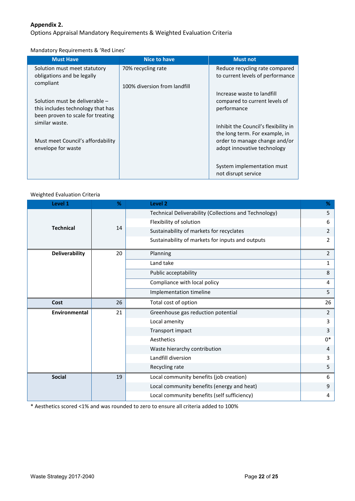#### **Appendix 2.**

Options Appraisal Mandatory Requirements & Weighted Evaluation Criteria

Mandatory Requirements & 'Red Lines'

| <b>Must Have</b>                                                                                         | <b>Nice to have</b>          | <b>Must not</b>                                                            |
|----------------------------------------------------------------------------------------------------------|------------------------------|----------------------------------------------------------------------------|
| Solution must meet statutory<br>obligations and be legally                                               | 70% recycling rate           | Reduce recycling rate compared<br>to current levels of performance         |
| compliant                                                                                                | 100% diversion from landfill |                                                                            |
| Solution must be deliverable -<br>this includes technology that has<br>been proven to scale for treating |                              | Increase waste to landfill<br>compared to current levels of<br>performance |
| similar waste.                                                                                           |                              | Inhibit the Council's flexibility in<br>the long term. For example, in     |
| Must meet Council's affordability<br>envelope for waste                                                  |                              | order to manage change and/or<br>adopt innovative technology               |
|                                                                                                          |                              | System implementation must<br>not disrupt service                          |

#### Weighted Evaluation Criteria

| Level 1               | %  | Level <sub>2</sub>                                    | %              |
|-----------------------|----|-------------------------------------------------------|----------------|
|                       |    | Technical Deliverability (Collections and Technology) | 5              |
|                       |    | Flexibility of solution                               | 6              |
| <b>Technical</b>      | 14 | Sustainability of markets for recyclates              | 2              |
|                       |    | Sustainability of markets for inputs and outputs      | 2              |
| <b>Deliverability</b> | 20 | Planning                                              | 2              |
|                       |    | Land take                                             | $\mathbf{1}$   |
|                       |    | Public acceptability                                  | 8              |
|                       |    | Compliance with local policy                          | 4              |
|                       |    | Implementation timeline                               | 5              |
| Cost                  | 26 | Total cost of option                                  | 26             |
| <b>Environmental</b>  | 21 | Greenhouse gas reduction potential                    | $\overline{2}$ |
|                       |    | Local amenity                                         | 3              |
|                       |    | Transport impact                                      | 3              |
|                       |    | Aesthetics                                            | $0*$           |
|                       |    | Waste hierarchy contribution                          | 4              |
|                       |    | Landfill diversion                                    | 3              |
|                       |    | Recycling rate                                        | 5              |
| <b>Social</b>         | 19 | Local community benefits (job creation)               | 6              |
|                       |    | Local community benefits (energy and heat)            | 9              |
|                       |    | Local community benefits (self sufficiency)           | 4              |

\* Aesthetics scored <1% and was rounded to zero to ensure all criteria added to 100%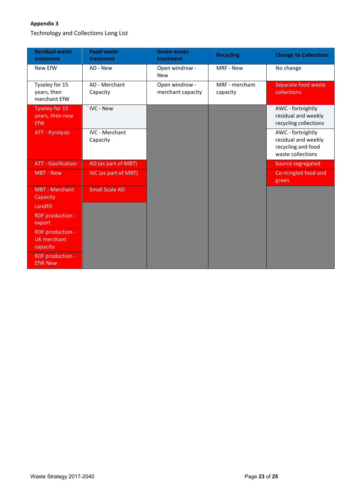#### **Appendix 3**

Technology and Collections Long List

| <b>Residual waste</b><br>treatment                 | <b>Food waste</b><br>treatment    | <b>Green waste</b><br>treatment     | <b>Recycling</b>           | <b>Change to Collections</b>                                                        |
|----------------------------------------------------|-----------------------------------|-------------------------------------|----------------------------|-------------------------------------------------------------------------------------|
| New EfW                                            | AD - New                          | Open windrow -<br><b>New</b>        | MRF - New                  | No change                                                                           |
| Tyseley for 15<br>years, then<br>merchant EfW      | AD - Merchant<br>Capacity         | Open windrow -<br>merchant capacity | MRF - merchant<br>capacity | Separate food waste<br>collections                                                  |
| <b>Tyseley for 15</b><br>years, then new<br>EfW    | <b>IVC - New</b>                  |                                     |                            | AWC - fortnightly<br>residual and weekly<br>recycling collections                   |
| <b>ATT - Pyrolysis</b>                             | <b>IVC - Merchant</b><br>Capacity |                                     |                            | AWC - fortnightly<br>residual and weekly<br>recycling and food<br>waste collections |
| <b>ATT - Gasification</b>                          | AD (as part of MBT)               |                                     |                            | Source segregated                                                                   |
| <b>MBT - New</b>                                   | IVC (as part of MBT)              |                                     |                            | Co-mingled food and<br>green                                                        |
| <b>MBT</b> - Merchant<br>Capacity                  | <b>Small Scale AD</b>             |                                     |                            |                                                                                     |
| Landfill                                           |                                   |                                     |                            |                                                                                     |
| RDF production -<br>export                         |                                   |                                     |                            |                                                                                     |
| RDF production -<br><b>UK</b> merchant<br>capacity |                                   |                                     |                            |                                                                                     |
| RDF production -<br><b>EfW New</b>                 |                                   |                                     |                            |                                                                                     |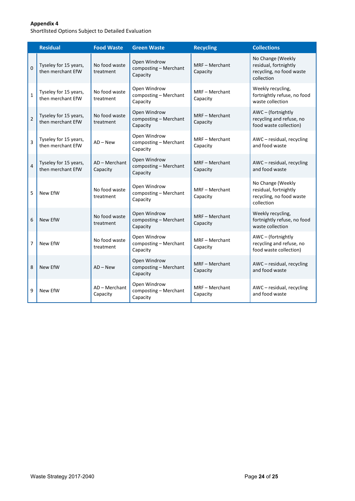#### **Appendix 4**

ShortlIsted Options Subject to Detailed Evaluation

|                         | <b>Residual</b>                            | <b>Food Waste</b>           | <b>Green Waste</b>                                | <b>Recycling</b>           | <b>Collections</b>                                                                   |
|-------------------------|--------------------------------------------|-----------------------------|---------------------------------------------------|----------------------------|--------------------------------------------------------------------------------------|
| $\overline{0}$          | Tyseley for 15 years,<br>then merchant EfW | No food waste<br>treatment  | Open Windrow<br>composting - Merchant<br>Capacity | MRF - Merchant<br>Capacity | No Change (Weekly<br>residual, fortnightly<br>recycling, no food waste<br>collection |
| $\mathbf{1}$            | Tyseley for 15 years,<br>then merchant EfW | No food waste<br>treatment  | Open Windrow<br>composting - Merchant<br>Capacity | MRF - Merchant<br>Capacity | Weekly recycling,<br>fortnightly refuse, no food<br>waste collection                 |
| $\overline{2}$          | Tyseley for 15 years,<br>then merchant EfW | No food waste<br>treatment  | Open Windrow<br>composting - Merchant<br>Capacity | MRF - Merchant<br>Capacity | AWC-(fortnightly<br>recycling and refuse, no<br>food waste collection)               |
| $\overline{3}$          | Tyseley for 15 years,<br>then merchant EfW | $AD - New$                  | Open Windrow<br>composting - Merchant<br>Capacity | MRF - Merchant<br>Capacity | AWC - residual, recycling<br>and food waste                                          |
| $\overline{\mathbf{A}}$ | Tyseley for 15 years,<br>then merchant EfW | $AD - Merchant$<br>Capacity | Open Windrow<br>composting - Merchant<br>Capacity | MRF - Merchant<br>Capacity | AWC - residual, recycling<br>and food waste                                          |
| 5                       | New EfW                                    | No food waste<br>treatment  | Open Windrow<br>composting - Merchant<br>Capacity | MRF - Merchant<br>Capacity | No Change (Weekly<br>residual, fortnightly<br>recycling, no food waste<br>collection |
| 6                       | New EfW                                    | No food waste<br>treatment  | Open Windrow<br>composting - Merchant<br>Capacity | MRF - Merchant<br>Capacity | Weekly recycling,<br>fortnightly refuse, no food<br>waste collection                 |
| $\overline{7}$          | New EfW                                    | No food waste<br>treatment  | Open Windrow<br>composting - Merchant<br>Capacity | MRF - Merchant<br>Capacity | AWC-(fortnightly<br>recycling and refuse, no<br>food waste collection)               |
| 8                       | New EfW                                    | $AD - New$                  | Open Windrow<br>composting - Merchant<br>Capacity | MRF - Merchant<br>Capacity | AWC - residual, recycling<br>and food waste                                          |
| 9                       | New EfW                                    | AD - Merchant<br>Capacity   | Open Windrow<br>composting - Merchant<br>Capacity | MRF - Merchant<br>Capacity | AWC - residual, recycling<br>and food waste                                          |